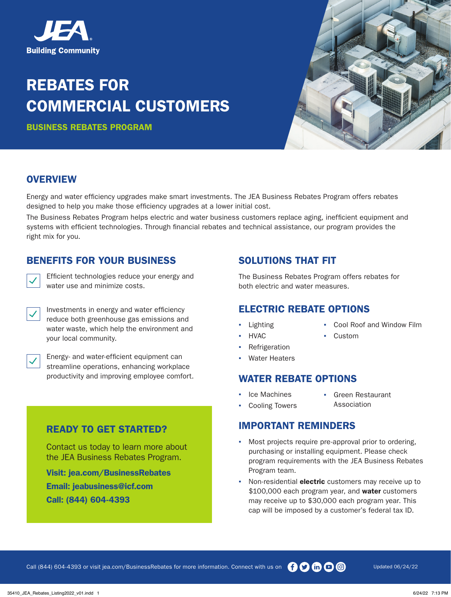

# REBATES FOR COMMERCIAL CUSTOMERS

BUSINESS REBATES PROGRAM



#### **OVERVIEW**

Energy and water efficiency upgrades make smart investments. The JEA Business Rebates Program offers rebates designed to help you make those efficiency upgrades at a lower initial cost.

The Business Rebates Program helps electric and water business customers replace aging, inefficient equipment and systems with efficient technologies. Through financial rebates and technical assistance, our program provides the right mix for you.

#### BENEFITS FOR YOUR BUSINESS

 $\overline{\checkmark}$ 

Efficient technologies reduce your energy and water use and minimize costs.

 $\overline{\checkmark}$ 

 $\overline{\checkmark}$ 

Investments in energy and water efficiency reduce both greenhouse gas emissions and water waste, which help the environment and your local community.

Energy- and water-efficient equipment can streamline operations, enhancing workplace productivity and improving employee comfort.

## SOLUTIONS THAT FIT

The Business Rebates Program offers rebates for both electric and water measures.

#### ELECTRIC REBATE OPTIONS

- **Lighting**
- **HVAC**
- **Refrigeration**
- Water Heaters

#### WATER REBATE OPTIONS

- Ice Machines
- Green Restaurant
- **Cooling Towers**
- Association

### IMPORTANT REMINDERS

- Most projects require pre-approval prior to ordering, purchasing or installing equipment. Please check program requirements with the JEA Business Rebates Program team.
- Non-residential **electric** customers may receive up to \$100,000 each program year, and water customers may receive up to \$30,000 each program year. This cap will be imposed by a customer's federal tax ID.

## READY TO GET STARTED?

Contact us today to learn more about the JEA Business Rebates Program.

Visit: [jea.com/BusinessRebates](http://jea.com/BusinessRebates) Email: [jeabusiness@icf.com](mailto:jeabusiness@icf.com) Call: (844) 604-4393

**Custom** 

▪ Cool Roof and Window Film